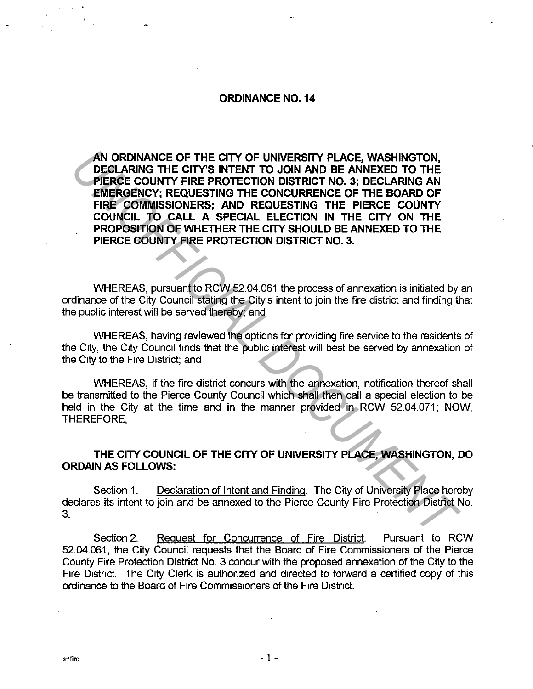#### **ORDINANCE NO. 14**

**AN ORDINANCE OF THE CITY OF UNIVERSITY PLACE, WASHINGTON, DECLARING THE CITY'S INTENT TO JOIN AND BE ANNEXED TO THE PIERCE COUNTY FIRE PROTECTION DISTRICT NO. 3; DECLARING AN EMERGENCY; REQUESTING THE CONCURRENCE OF THE BOARD OF FIRE COMMISSIONERS; AND REQUESTING THE PIERCE COUNTY COUNCIL TO CALL A SPECIAL ELECTION IN THE CITY ON THE PROPOSITION OF WHETHER THE CITY SHOULD BE ANNEXED TO THE PIERCE COUNTY FIRE PROTECTION DISTRICT NO. 3. AN ORDINANCE OF THE CITY OF UNIVERSITY PLACE, WASHINGTON,<br>
DECLARING THE CITY'S INTERT TO JOIN AND BE ANNEXED TO THE<br>
PERCE COUNTY FIRE PROTECTION DISTRICT NO. 3; DECLARING AN<br>
EMERGENCY; REQUESTING THE CONCURRENCE OF THE** 

WHEREAS, pursuant to RCW 52.04.061 the process of annexation is initiated by an ordinance of the City Council stating the City's intent to join the fire district and finding that the public interest will be served thereby; and

WHEREAS, having reviewed the options for providing fire service to the residents of the City, the City Council finds that the public interest will best be served by annexation of the City to the Fire District; and

WHEREAS, if the fire district concurs with the annexation, notification thereof shall be transmitted to the Pierce County Council which shall then call a special election to be held in the City at the time and in the manner provided in RCW 52.04.071; NOW, THEREFORE,

## **THE CITY COUNCIL OF THE CITY OF UNIVERSITY PLACE, WASHINGTON, DO ORDAIN AS FOLLOWS:** ·

Section 1. Declaration of Intent and Finding. The City of University Place hereby declares its intent to join and be annexed to the Pierce County Fire Protection District No. 3.

Section 2. Request for Concurrence of Fire District. Pursuant to RCW 52.04.061, the City Council requests that the Board of Fire Commissioners of the Pierce County Fire Protection District No. 3 concur with the proposed annexation of the City to the Fire District. The City Clerk is authorized and directed to forward a certified copy of this ordinance to the Board of Fire Commissioners of the Fire District.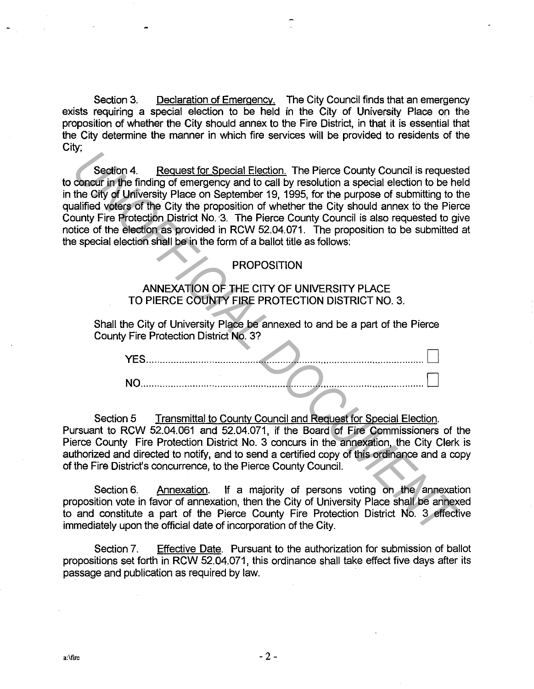Section 3. Declaration of Emergency. The City Council finds that an emergency exists requiring a special election to be held in the City of University Place on the proposition of whether the City should annex to the Fire District, in that it is essential that the City determine the manner in which fire services will be provided to residents of the City;

Section 4. Request for Special Election. The Pierce County Council is requested to concur in the finding of emergency and to call by resolution a special election to be held in the City of University Place on September 19, 1995, for the purpose of submitting to the qualified voters of the City the proposition of whether the City should annex to the Pierce County Fire Protection District No. 3. The Pierce County Council is also requested to give notice of the election as provided in RCW 52.04.071. The proposition to be submitted at the special election shall be in the form of a ballot title as follows: Section 4. Request for Special Election. The Pierce County Council is request<br>concert in the finding of emergency and to call by resolution a special election to be the<br>diffused vefors of y University Place on September 19

#### PROPOSITION

### ANNEXATION OF THE CITY OF UNIVERSITY PLACE TO PIERCE COUNTY FIRE PROTECTION DISTRICT NO. 3.

Shall the City of University Place be annexed to and be a part of the Pierce County Fire Protection District No. 3?

Section 5 Transmittal to County Council and Request for Special Election. Pursuant to RCW 52.04.061 and 52.04.071, if the Board of Fire Commissioners of the Pierce County Fire Protection District No. 3 concurs in the annexation, the City Clerk is authorized and directed to notify, and to send a certified copy of this ordinance and a copy of the Fire District's concurrence, to the Pierce County Council.

Section 6. Annexation. If a majority of persons voting on the annexation proposition vote in favor of annexation, then the City of University Place shall be annexed to and constitute a part of the Pierce County Fire Protection District No. 3 effective immediately upon the official date of incorporation of the City.

Section 7. Effective Date. Pursuant to the authorization for submission of ballot propositions set forth in RCW 52.04.071, this ordinance shall take effect five days after its passage and publication as required by law.